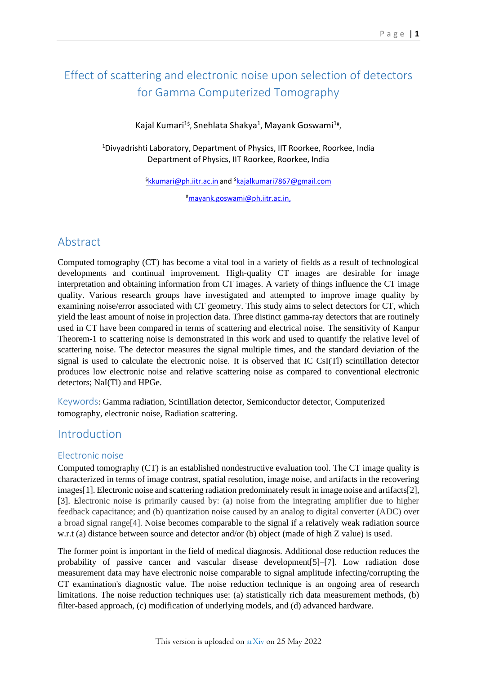# Effect of scattering and electronic noise upon selection of detectors for Gamma Computerized Tomography

Kajal Kumari<sup>1\$</sup>, Snehlata Shakya<sup>1</sup>, Mayank Goswami<sup>1#</sup>,

<sup>1</sup>Divyadrishti Laboratory, Department of Physics, IIT Roorkee, Roorkee, India Department of Physics, IIT Roorkee, Roorkee, India

\$ [kkumari@ph.iitr.ac.in](mailto:$kkumari@ph.iitr.ac.in) and \$ [kajalkumari7867@gmail.com](mailto:kajalkumari7867@gmail.com)

#[mayank.goswami@ph.iitr.ac.in,](mailto:mayank.goswami@ph.iitr.ac.in)

# Abstract

Computed tomography (CT) has become a vital tool in a variety of fields as a result of technological developments and continual improvement. High-quality CT images are desirable for image interpretation and obtaining information from CT images. A variety of things influence the CT image quality. Various research groups have investigated and attempted to improve image quality by examining noise/error associated with CT geometry. This study aims to select detectors for CT, which yield the least amount of noise in projection data. Three distinct gamma-ray detectors that are routinely used in CT have been compared in terms of scattering and electrical noise. The sensitivity of Kanpur Theorem-1 to scattering noise is demonstrated in this work and used to quantify the relative level of scattering noise. The detector measures the signal multiple times, and the standard deviation of the signal is used to calculate the electronic noise. It is observed that IC CsI(Tl) scintillation detector produces low electronic noise and relative scattering noise as compared to conventional electronic detectors: NaI(Tl) and HPGe.

Keywords: Gamma radiation, Scintillation detector, Semiconductor detector, Computerized tomography, electronic noise, Radiation scattering.

# Introduction

#### Electronic noise

Computed tomography (CT) is an established nondestructive evaluation tool. The CT image quality is characterized in terms of image contrast, spatial resolution, image noise, and artifacts in the recovering images[1]. Electronic noise and scattering radiation predominately result in image noise and artifacts[2], [3]. Electronic noise is primarily caused by: (a) noise from the integrating amplifier due to higher feedback capacitance; and (b) quantization noise caused by an analog to digital converter (ADC) over a broad signal range[4]. Noise becomes comparable to the signal if a relatively weak radiation source w.r.t (a) distance between source and detector and/or (b) object (made of high Z value) is used.

The former point is important in the field of medical diagnosis. Additional dose reduction reduces the probability of passive cancer and vascular disease development[5]–[7]. Low radiation dose measurement data may have electronic noise comparable to signal amplitude infecting/corrupting the CT examination's diagnostic value. The noise reduction technique is an ongoing area of research limitations. The noise reduction techniques use: (a) statistically rich data measurement methods, (b) filter-based approach, (c) modification of underlying models, and (d) advanced hardware.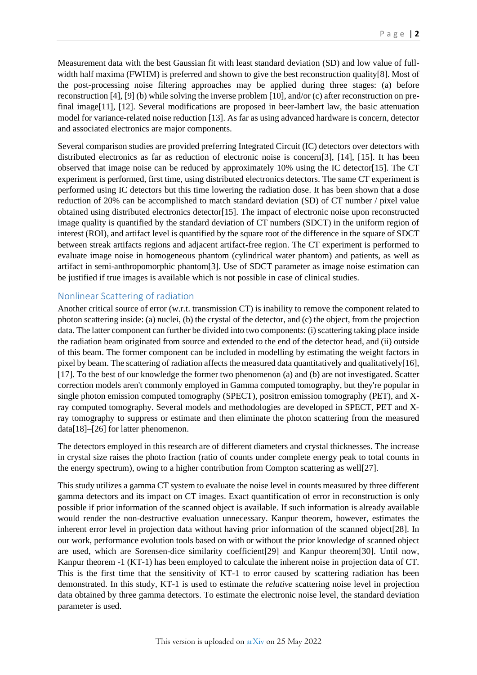Measurement data with the best Gaussian fit with least standard deviation (SD) and low value of fullwidth half maxima (FWHM) is preferred and shown to give the best reconstruction quality[8]. Most of the post-processing noise filtering approaches may be applied during three stages: (a) before reconstruction [4], [9] (b) while solving the inverse problem [10], and/or (c) after reconstruction on prefinal image[11], [12]. Several modifications are proposed in beer-lambert law, the basic attenuation model for variance-related noise reduction [13]. As far as using advanced hardware is concern, detector and associated electronics are major components.

Several comparison studies are provided preferring Integrated Circuit (IC) detectors over detectors with distributed electronics as far as reduction of electronic noise is concern[3], [14], [15]. It has been observed that image noise can be reduced by approximately 10% using the IC detector[15]. The CT experiment is performed, first time, using distributed electronics detectors. The same CT experiment is performed using IC detectors but this time lowering the radiation dose. It has been shown that a dose reduction of 20% can be accomplished to match standard deviation (SD) of CT number / pixel value obtained using distributed electronics detector[15]. The impact of electronic noise upon reconstructed image quality is quantified by the standard deviation of CT numbers (SDCT) in the uniform region of interest (ROI), and artifact level is quantified by the square root of the difference in the square of SDCT between streak artifacts regions and adjacent artifact-free region. The CT experiment is performed to evaluate image noise in homogeneous phantom (cylindrical water phantom) and patients, as well as artifact in semi-anthropomorphic phantom[3]. Use of SDCT parameter as image noise estimation can be justified if true images is available which is not possible in case of clinical studies.

#### Nonlinear Scattering of radiation

Another critical source of error (w.r.t. transmission CT) is inability to remove the component related to photon scattering inside: (a) nuclei, (b) the crystal of the detector, and (c) the object, from the projection data. The latter component can further be divided into two components: (i) scattering taking place inside the radiation beam originated from source and extended to the end of the detector head, and (ii) outside of this beam. The former component can be included in modelling by estimating the weight factors in pixel by beam. The scattering of radiation affects the measured data quantitatively and qualitatively[16], [17]. To the best of our knowledge the former two phenomenon (a) and (b) are not investigated. Scatter correction models aren't commonly employed in Gamma computed tomography, but they're popular in single photon emission computed tomography (SPECT), positron emission tomography (PET), and Xray computed tomography. Several models and methodologies are developed in SPECT, PET and Xray tomography to suppress or estimate and then eliminate the photon scattering from the measured data[18]–[26] for latter phenomenon.

The detectors employed in this research are of different diameters and crystal thicknesses. The increase in crystal size raises the photo fraction (ratio of counts under complete energy peak to total counts in the energy spectrum), owing to a higher contribution from Compton scattering as well[27].

This study utilizes a gamma CT system to evaluate the noise level in counts measured by three different gamma detectors and its impact on CT images. Exact quantification of error in reconstruction is only possible if prior information of the scanned object is available. If such information is already available would render the non-destructive evaluation unnecessary. Kanpur theorem, however, estimates the inherent error level in projection data without having prior information of the scanned object[28]. In our work, performance evolution tools based on with or without the prior knowledge of scanned object are used, which are Sorensen-dice similarity coefficient[29] and Kanpur theorem[30]. Until now, Kanpur theorem -1 (KT-1) has been employed to calculate the inherent noise in projection data of CT. This is the first time that the sensitivity of KT-1 to error caused by scattering radiation has been demonstrated. In this study, KT-1 is used to estimate the *relative* scattering noise level in projection data obtained by three gamma detectors. To estimate the electronic noise level, the standard deviation parameter is used.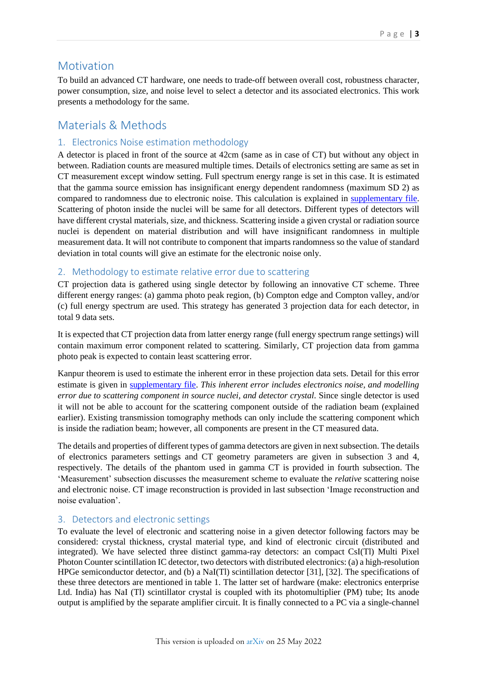## **Motivation**

To build an advanced CT hardware, one needs to trade-off between overall cost, robustness character, power consumption, size, and noise level to select a detector and its associated electronics. This work presents a methodology for the same.

# Materials & Methods

## 1. Electronics Noise estimation methodology

A detector is placed in front of the source at 42cm (same as in case of CT) but without any object in between. Radiation counts are measured multiple times. Details of electronics setting are same as set in CT measurement except window setting. Full spectrum energy range is set in this case. It is estimated that the gamma source emission has insignificant energy dependent randomness (maximum SD 2) as compared to randomness due to electronic noise. This calculation is explained in [supplementary file.](#page-9-0) Scattering of photon inside the nuclei will be same for all detectors. Different types of detectors will have different crystal materials, size, and thickness. Scattering inside a given crystal or radiation source nuclei is dependent on material distribution and will have insignificant randomness in multiple measurement data. It will not contribute to component that imparts randomness so the value of standard deviation in total counts will give an estimate for the electronic noise only.

## 2. Methodology to estimate relative error due to scattering

CT projection data is gathered using single detector by following an innovative CT scheme. Three different energy ranges: (a) gamma photo peak region, (b) Compton edge and Compton valley, and/or (c) full energy spectrum are used. This strategy has generated 3 projection data for each detector, in total 9 data sets.

It is expected that CT projection data from latter energy range (full energy spectrum range settings) will contain maximum error component related to scattering. Similarly, CT projection data from gamma photo peak is expected to contain least scattering error.

Kanpur theorem is used to estimate the inherent error in these projection data sets. Detail for this error estimate is given in [supplementary file.](#page-9-1) *This inherent error includes electronics noise, and modelling error due to scattering component in source nuclei, and detector crystal.* Since single detector is used it will not be able to account for the scattering component outside of the radiation beam (explained earlier). Existing transmission tomography methods can only include the scattering component which is inside the radiation beam; however, all components are present in the CT measured data.

The details and properties of different types of gamma detectors are given in next subsection. The details of electronics parameters settings and CT geometry parameters are given in subsection 3 and 4, respectively. The details of the phantom used in gamma CT is provided in fourth subsection. The 'Measurement' subsection discusses the measurement scheme to evaluate the *relative* scattering noise and electronic noise. CT image reconstruction is provided in last subsection 'Image reconstruction and noise evaluation'.

#### 3. Detectors and electronic settings

To evaluate the level of electronic and scattering noise in a given detector following factors may be considered: crystal thickness, crystal material type, and kind of electronic circuit (distributed and integrated). We have selected three distinct gamma-ray detectors: an compact CsI(Tl) Multi Pixel Photon Counter scintillation IC detector, two detectors with distributed electronics: (a) a high-resolution HPGe semiconductor detector, and (b) a NaI(Tl) scintillation detector [31], [32]. The specifications of these three detectors are mentioned in table 1. The latter set of hardware (make: electronics enterprise Ltd. India) has NaI (Tl) scintillator crystal is coupled with its photomultiplier (PM) tube; Its anode output is amplified by the separate amplifier circuit. It is finally connected to a PC via a single-channel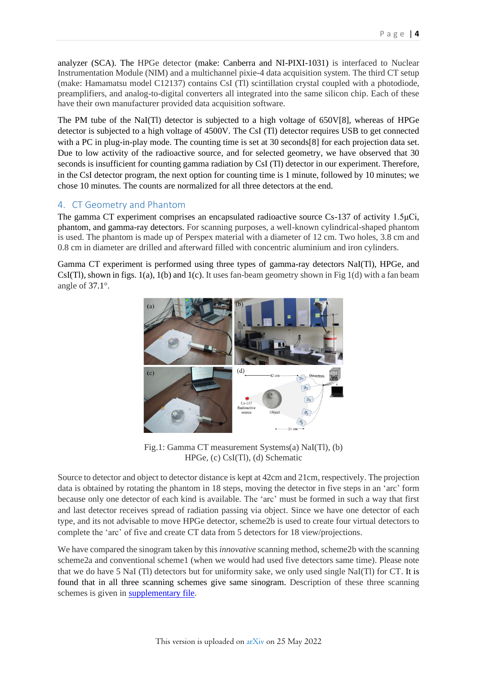analyzer (SCA). The HPGe detector (make: Canberra and NI-PIXI-1031) is interfaced to Nuclear Instrumentation Module (NIM) and a multichannel pixie-4 data acquisition system. The third CT setup (make: Hamamatsu model C12137) contains CsI (Tl) scintillation crystal coupled with a photodiode, preamplifiers, and analog-to-digital converters all integrated into the same silicon chip. Each of these have their own manufacturer provided data acquisition software.

The PM tube of the NaI(Tl) detector is subjected to a high voltage of 650V[8], whereas of HPGe detector is subjected to a high voltage of 4500V. The CsI (Tl) detector requires USB to get connected with a PC in plug-in-play mode. The counting time is set at 30 seconds[8] for each projection data set. Due to low activity of the radioactive source, and for selected geometry, we have observed that 30 seconds is insufficient for counting gamma radiation by CsI (Tl) detector in our experiment. Therefore, in the CsI detector program, the next option for counting time is 1 minute, followed by 10 minutes; we chose 10 minutes. The counts are normalized for all three detectors at the end.

## 4. CT Geometry and Phantom

The gamma CT experiment comprises an encapsulated radioactive source Cs-137 of activity 1.5μCi, phantom, and gamma-ray detectors. For scanning purposes, a well-known cylindrical-shaped phantom is used. The phantom is made up of Perspex material with a diameter of 12 cm. Two holes, 3.8 cm and 0.8 cm in diameter are drilled and afterward filled with concentric aluminium and iron cylinders.

Gamma CT experiment is performed using three types of gamma-ray detectors NaI(Tl), HPGe, and  $CsI(Tl)$ , shown in figs.  $1(a)$ ,  $1(b)$  and  $1(c)$ . It uses fan-beam geometry shown in Fig  $1(d)$  with a fan beam angle of 37.1°.



Fig.1: Gamma CT measurement Systems(a) NaI(Tl), (b) HPGe, (c) CsI(Tl), (d) Schematic

Source to detector and object to detector distance is kept at 42cm and 21cm, respectively. The projection data is obtained by rotating the phantom in 18 steps, moving the detector in five steps in an 'arc' form because only one detector of each kind is available. The 'arc' must be formed in such a way that first and last detector receives spread of radiation passing via object. Since we have one detector of each type, and its not advisable to move HPGe detector, scheme2b is used to create four virtual detectors to complete the 'arc' of five and create CT data from 5 detectors for 18 view/projections.

We have compared the sinogram taken by this *innovative* scanning method, scheme2b with the scanning scheme2a and conventional scheme1 (when we would had used five detectors same time). Please note that we do have 5 NaI (Tl) detectors but for uniformity sake, we only used single NaI(Tl) for CT. It is found that in all three scanning schemes give same sinogram. Description of these three scanning schemes is given in [supplementary file.](#page-10-0)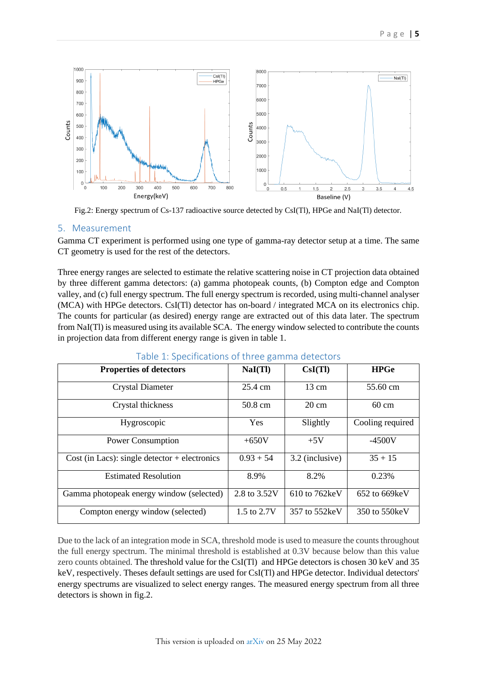

Fig.2: Energy spectrum of Cs-137 radioactive source detected by CsI(Tl), HPGe and NaI(Tl) detector.

#### 5. Measurement

Gamma CT experiment is performed using one type of gamma-ray detector setup at a time. The same CT geometry is used for the rest of the detectors.

Three energy ranges are selected to estimate the relative scattering noise in CT projection data obtained by three different gamma detectors: (a) gamma photopeak counts, (b) Compton edge and Compton valley, and (c) full energy spectrum. The full energy spectrum is recorded, using multi-channel analyser (MCA) with HPGe detectors. CsI(Tl) detector has on-board / integrated MCA on its electronics chip. The counts for particular (as desired) energy range are extracted out of this data later. The spectrum from NaI(Tl) is measured using its available SCA. The energy window selected to contribute the counts in projection data from different energy range is given in table 1.

| <b>Properties of detectors</b>                  | NaI(Tl)      | CsI(Tl)         | <b>HPGe</b>      |
|-------------------------------------------------|--------------|-----------------|------------------|
| <b>Crystal Diameter</b>                         | 25.4 cm      | $13 \text{ cm}$ | 55.60 cm         |
| Crystal thickness                               | 50.8 cm      | $20 \text{ cm}$ | $60 \text{ cm}$  |
| Hygroscopic                                     | <b>Yes</b>   | Slightly        | Cooling required |
| <b>Power Consumption</b>                        | $+650V$      | $+5V$           | $-4500V$         |
| Cost (in Lacs): single detector $+$ electronics | $0.93 + 54$  | 3.2 (inclusive) | $35 + 15$        |
| <b>Estimated Resolution</b>                     | 8.9%         | 8.2%            | 0.23%            |
| Gamma photopeak energy window (selected)        | 2.8 to 3.52V | 610 to 762keV   | 652 to 669keV    |
| Compton energy window (selected)                | 1.5 to 2.7V  | 357 to 552keV   | 350 to 550 keV   |

#### Table 1: Specifications of three gamma detectors

Due to the lack of an integration mode in SCA, threshold mode is used to measure the counts throughout the full energy spectrum. The minimal threshold is established at 0.3V because below than this value zero counts obtained. The threshold value for the CsI(Tl) and HPGe detectors is chosen 30 keV and 35 keV, respectively. Theses default settings are used for CsI(Tl) and HPGe detector. Individual detectors' energy spectrums are visualized to select energy ranges. The measured energy spectrum from all three detectors is shown in fig.2.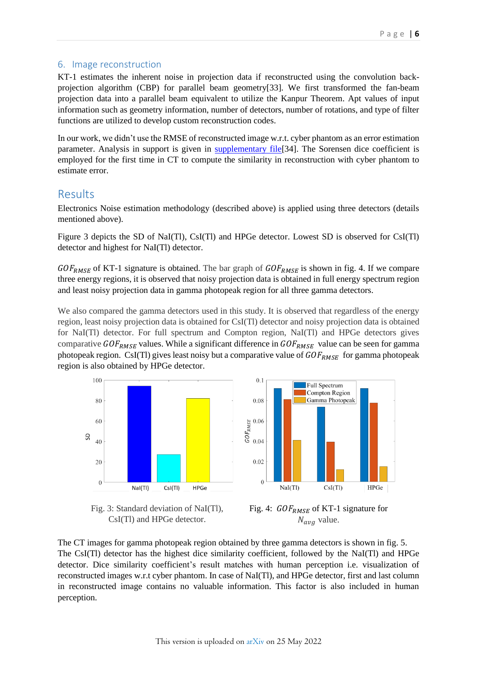#### 6. Image reconstruction

KT-1 estimates the inherent noise in projection data if reconstructed using the convolution backprojection algorithm (CBP) for parallel beam geometry[33]. We first transformed the fan-beam projection data into a parallel beam equivalent to utilize the Kanpur Theorem. Apt values of input information such as geometry information, number of detectors, number of rotations, and type of filter functions are utilized to develop custom reconstruction codes.

In our work, we didn't use the RMSE of reconstructed image w.r.t. cyber phantom as an error estimation parameter. Analysis in support is given in supplementary file<sup>[34]</sup>. The Sorensen dice coefficient is employed for the first time in CT to compute the similarity in reconstruction with cyber phantom to estimate error.

## Results

Electronics Noise estimation methodology (described above) is applied using three detectors (details mentioned above).

Figure 3 depicts the SD of NaI(Tl), CsI(Tl) and HPGe detector. Lowest SD is observed for CsI(Tl) detector and highest for NaI(Tl) detector.

 $GOF<sub>RMSE</sub>$  of KT-1 signature is obtained. The bar graph of  $GOF<sub>RMSE</sub>$  is shown in fig. 4. If we compare three energy regions, it is observed that noisy projection data is obtained in full energy spectrum region and least noisy projection data in gamma photopeak region for all three gamma detectors.

We also compared the gamma detectors used in this study. It is observed that regardless of the energy region, least noisy projection data is obtained for CsI(Tl) detector and noisy projection data is obtained for NaI(Tl) detector. For full spectrum and Compton region, NaI(Tl) and HPGe detectors gives comparative  $GOF_{RMSE}$  values. While a significant difference in  $GOF_{RMSE}$  value can be seen for gamma photopeak region. CsI(Tl) gives least noisy but a comparative value of  $GOF<sub>RMSE</sub>$  for gamma photopeak region is also obtained by HPGe detector.

 $0.1$ 





Fig. 3: Standard deviation of NaI(Tl), CsI(Tl) and HPGe detector.



The CT images for gamma photopeak region obtained by three gamma detectors is shown in fig. 5. The CsI(Tl) detector has the highest dice similarity coefficient, followed by the NaI(Tl) and HPGe detector. Dice similarity coefficient's result matches with human perception i.e. visualization of reconstructed images w.r.t cyber phantom. In case of NaI(Tl), and HPGe detector, first and last column in reconstructed image contains no valuable information. This factor is also included in human perception.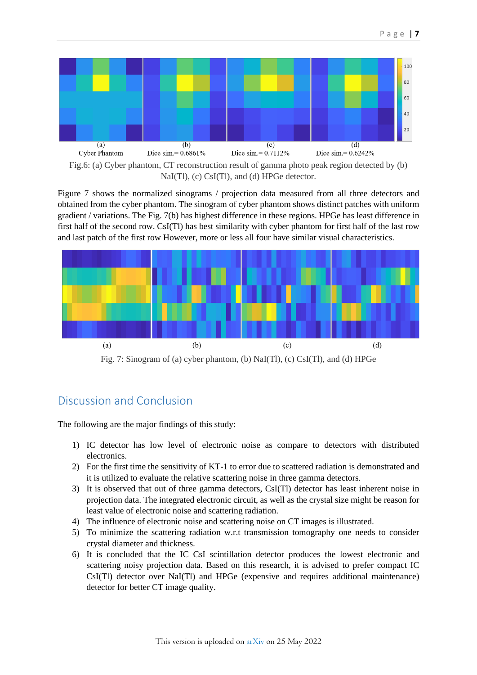

NaI(Tl), (c) CsI(Tl), and (d) HPGe detector.

Figure 7 shows the normalized sinograms / projection data measured from all three detectors and obtained from the cyber phantom. The sinogram of cyber phantom shows distinct patches with uniform gradient / variations. The Fig. 7(b) has highest difference in these regions. HPGe has least difference in first half of the second row. CsI(Tl) has best similarity with cyber phantom for first half of the last row and last patch of the first row However, more or less all four have similar visual characteristics.



Fig. 7: Sinogram of (a) cyber phantom, (b) NaI(Tl), (c) CsI(Tl), and (d) HPGe

# Discussion and Conclusion

The following are the major findings of this study:

- 1) IC detector has low level of electronic noise as compare to detectors with distributed electronics.
- 2) For the first time the sensitivity of KT-1 to error due to scattered radiation is demonstrated and it is utilized to evaluate the relative scattering noise in three gamma detectors.
- 3) It is observed that out of three gamma detectors, CsI(Tl) detector has least inherent noise in projection data. The integrated electronic circuit, as well as the crystal size might be reason for least value of electronic noise and scattering radiation.
- 4) The influence of electronic noise and scattering noise on CT images is illustrated.
- 5) To minimize the scattering radiation w.r.t transmission tomography one needs to consider crystal diameter and thickness.
- 6) It is concluded that the IC CsI scintillation detector produces the lowest electronic and scattering noisy projection data. Based on this research, it is advised to prefer compact IC CsI(Tl) detector over NaI(Tl) and HPGe (expensive and requires additional maintenance) detector for better CT image quality.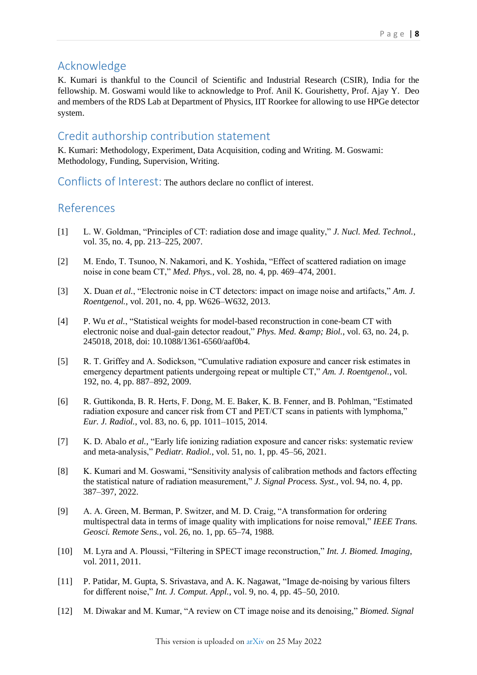# Acknowledge

K. Kumari is thankful to the Council of Scientific and Industrial Research (CSIR), India for the fellowship. M. Goswami would like to acknowledge to Prof. Anil K. Gourishetty, Prof. Ajay Y. Deo and members of the RDS Lab at Department of Physics, IIT Roorkee for allowing to use HPGe detector system.

## Credit authorship contribution statement

K. Kumari: Methodology, Experiment, Data Acquisition, coding and Writing. M. Goswami: Methodology, Funding, Supervision, Writing.

Conflicts of Interest: The authors declare no conflict of interest.

# References

- [1] L. W. Goldman, "Principles of CT: radiation dose and image quality," *J. Nucl. Med. Technol.*, vol. 35, no. 4, pp. 213–225, 2007.
- [2] M. Endo, T. Tsunoo, N. Nakamori, and K. Yoshida, "Effect of scattered radiation on image noise in cone beam CT," *Med. Phys.*, vol. 28, no. 4, pp. 469–474, 2001.
- [3] X. Duan *et al.*, "Electronic noise in CT detectors: impact on image noise and artifacts," *Am. J. Roentgenol.*, vol. 201, no. 4, pp. W626–W632, 2013.
- [4] P. Wu *et al.*, "Statistical weights for model-based reconstruction in cone-beam CT with electronic noise and dual-gain detector readout," *Phys. Med. & amp*; *Biol.*, vol. 63, no. 24, p. 245018, 2018, doi: 10.1088/1361-6560/aaf0b4.
- [5] R. T. Griffey and A. Sodickson, "Cumulative radiation exposure and cancer risk estimates in emergency department patients undergoing repeat or multiple CT," *Am. J. Roentgenol.*, vol. 192, no. 4, pp. 887–892, 2009.
- [6] R. Guttikonda, B. R. Herts, F. Dong, M. E. Baker, K. B. Fenner, and B. Pohlman, "Estimated radiation exposure and cancer risk from CT and PET/CT scans in patients with lymphoma," *Eur. J. Radiol.*, vol. 83, no. 6, pp. 1011–1015, 2014.
- [7] K. D. Abalo *et al.*, "Early life ionizing radiation exposure and cancer risks: systematic review and meta-analysis," *Pediatr. Radiol.*, vol. 51, no. 1, pp. 45–56, 2021.
- [8] K. Kumari and M. Goswami, "Sensitivity analysis of calibration methods and factors effecting the statistical nature of radiation measurement," *J. Signal Process. Syst.*, vol. 94, no. 4, pp. 387–397, 2022.
- [9] A. A. Green, M. Berman, P. Switzer, and M. D. Craig, "A transformation for ordering multispectral data in terms of image quality with implications for noise removal," *IEEE Trans. Geosci. Remote Sens.*, vol. 26, no. 1, pp. 65–74, 1988.
- [10] M. Lyra and A. Ploussi, "Filtering in SPECT image reconstruction," *Int. J. Biomed. Imaging*, vol. 2011, 2011.
- [11] P. Patidar, M. Gupta, S. Srivastava, and A. K. Nagawat, "Image de-noising by various filters for different noise," *Int. J. Comput. Appl.*, vol. 9, no. 4, pp. 45–50, 2010.
- [12] M. Diwakar and M. Kumar, "A review on CT image noise and its denoising," *Biomed. Signal*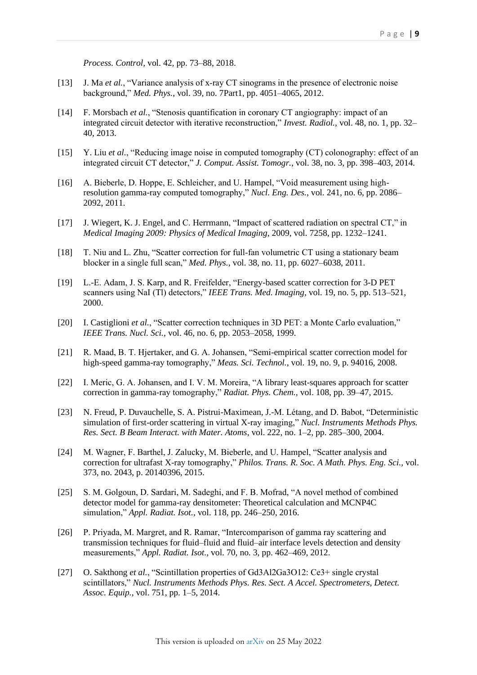*Process. Control*, vol. 42, pp. 73–88, 2018.

- [13] J. Ma *et al.*, "Variance analysis of x-ray CT sinograms in the presence of electronic noise background," *Med. Phys.*, vol. 39, no. 7Part1, pp. 4051–4065, 2012.
- [14] F. Morsbach *et al.*, "Stenosis quantification in coronary CT angiography: impact of an integrated circuit detector with iterative reconstruction," *Invest. Radiol.*, vol. 48, no. 1, pp. 32– 40, 2013.
- [15] Y. Liu *et al.*, "Reducing image noise in computed tomography (CT) colonography: effect of an integrated circuit CT detector," *J. Comput. Assist. Tomogr.*, vol. 38, no. 3, pp. 398–403, 2014.
- [16] A. Bieberle, D. Hoppe, E. Schleicher, and U. Hampel, "Void measurement using highresolution gamma-ray computed tomography," *Nucl. Eng. Des.*, vol. 241, no. 6, pp. 2086– 2092, 2011.
- [17] J. Wiegert, K. J. Engel, and C. Herrmann, "Impact of scattered radiation on spectral CT," in *Medical Imaging 2009: Physics of Medical Imaging*, 2009, vol. 7258, pp. 1232–1241.
- [18] T. Niu and L. Zhu, "Scatter correction for full-fan volumetric CT using a stationary beam blocker in a single full scan," *Med. Phys.*, vol. 38, no. 11, pp. 6027–6038, 2011.
- [19] L.-E. Adam, J. S. Karp, and R. Freifelder, "Energy-based scatter correction for 3-D PET scanners using NaI (Tl) detectors," *IEEE Trans. Med. Imaging*, vol. 19, no. 5, pp. 513–521, 2000.
- [20] I. Castiglioni *et al.*, "Scatter correction techniques in 3D PET: a Monte Carlo evaluation," *IEEE Trans. Nucl. Sci.*, vol. 46, no. 6, pp. 2053–2058, 1999.
- [21] R. Maad, B. T. Hjertaker, and G. A. Johansen, "Semi-empirical scatter correction model for high-speed gamma-ray tomography," *Meas. Sci. Technol.*, vol. 19, no. 9, p. 94016, 2008.
- [22] I. Meric, G. A. Johansen, and I. V. M. Moreira, "A library least-squares approach for scatter correction in gamma-ray tomography," *Radiat. Phys. Chem.*, vol. 108, pp. 39–47, 2015.
- [23] N. Freud, P. Duvauchelle, S. A. Pistrui-Maximean, J.-M. Létang, and D. Babot, "Deterministic simulation of first-order scattering in virtual X-ray imaging," *Nucl. Instruments Methods Phys. Res. Sect. B Beam Interact. with Mater. Atoms*, vol. 222, no. 1–2, pp. 285–300, 2004.
- [24] M. Wagner, F. Barthel, J. Zalucky, M. Bieberle, and U. Hampel, "Scatter analysis and correction for ultrafast X-ray tomography," *Philos. Trans. R. Soc. A Math. Phys. Eng. Sci.*, vol. 373, no. 2043, p. 20140396, 2015.
- [25] S. M. Golgoun, D. Sardari, M. Sadeghi, and F. B. Mofrad, "A novel method of combined detector model for gamma-ray densitometer: Theoretical calculation and MCNP4C simulation," *Appl. Radiat. Isot.*, vol. 118, pp. 246–250, 2016.
- [26] P. Priyada, M. Margret, and R. Ramar, "Intercomparison of gamma ray scattering and transmission techniques for fluid–fluid and fluid–air interface levels detection and density measurements," *Appl. Radiat. Isot.*, vol. 70, no. 3, pp. 462–469, 2012.
- [27] O. Sakthong *et al.*, "Scintillation properties of Gd3Al2Ga3O12: Ce3+ single crystal scintillators," *Nucl. Instruments Methods Phys. Res. Sect. A Accel. Spectrometers, Detect. Assoc. Equip.*, vol. 751, pp. 1–5, 2014.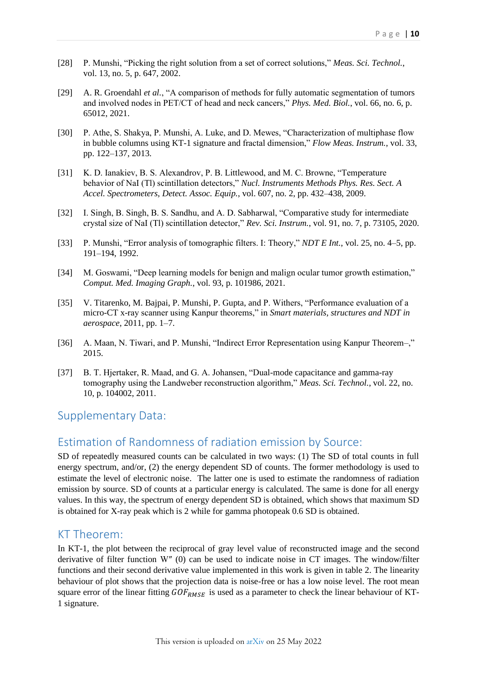- [28] P. Munshi, "Picking the right solution from a set of correct solutions," *Meas. Sci. Technol.*, vol. 13, no. 5, p. 647, 2002.
- [29] A. R. Groendahl *et al.*, "A comparison of methods for fully automatic segmentation of tumors and involved nodes in PET/CT of head and neck cancers," *Phys. Med. Biol.*, vol. 66, no. 6, p. 65012, 2021.
- [30] P. Athe, S. Shakya, P. Munshi, A. Luke, and D. Mewes, "Characterization of multiphase flow in bubble columns using KT-1 signature and fractal dimension," *Flow Meas. Instrum.*, vol. 33, pp. 122–137, 2013.
- [31] K. D. Ianakiev, B. S. Alexandrov, P. B. Littlewood, and M. C. Browne, "Temperature behavior of NaI (Tl) scintillation detectors," *Nucl. Instruments Methods Phys. Res. Sect. A Accel. Spectrometers, Detect. Assoc. Equip.*, vol. 607, no. 2, pp. 432–438, 2009.
- [32] I. Singh, B. Singh, B. S. Sandhu, and A. D. Sabharwal, "Comparative study for intermediate crystal size of NaI (Tl) scintillation detector," *Rev. Sci. Instrum.*, vol. 91, no. 7, p. 73105, 2020.
- [33] P. Munshi, "Error analysis of tomographic filters. I: Theory," *NDT E Int.*, vol. 25, no. 4–5, pp. 191–194, 1992.
- [34] M. Goswami, "Deep learning models for benign and malign ocular tumor growth estimation," *Comput. Med. Imaging Graph.*, vol. 93, p. 101986, 2021.
- [35] V. Titarenko, M. Bajpai, P. Munshi, P. Gupta, and P. Withers, "Performance evaluation of a micro-CT x-ray scanner using Kanpur theorems," in *Smart materials, structures and NDT in aerospace*, 2011, pp. 1–7.
- [36] A. Maan, N. Tiwari, and P. Munshi, "Indirect Error Representation using Kanpur Theorem–," 2015.
- [37] B. T. Hjertaker, R. Maad, and G. A. Johansen, "Dual-mode capacitance and gamma-ray tomography using the Landweber reconstruction algorithm," *Meas. Sci. Technol.*, vol. 22, no. 10, p. 104002, 2011.

## Supplementary Data:

## <span id="page-9-0"></span>Estimation of Randomness of radiation emission by Source:

SD of repeatedly measured counts can be calculated in two ways: (1) The SD of total counts in full energy spectrum, and/or, (2) the energy dependent SD of counts. The former methodology is used to estimate the level of electronic noise. The latter one is used to estimate the randomness of radiation emission by source. SD of counts at a particular energy is calculated. The same is done for all energy values. In this way, the spectrum of energy dependent SD is obtained, which shows that maximum SD is obtained for X-ray peak which is 2 while for gamma photopeak 0.6 SD is obtained.

## <span id="page-9-1"></span>KT Theorem:

In KT-1, the plot between the reciprocal of gray level value of reconstructed image and the second derivative of filter function W″ (0) can be used to indicate noise in CT images. The window/filter functions and their second derivative value implemented in this work is given in table 2. The linearity behaviour of plot shows that the projection data is noise-free or has a low noise level. The root mean square error of the linear fitting  $GOF_{RMSE}$  is used as a parameter to check the linear behaviour of KT-1 signature.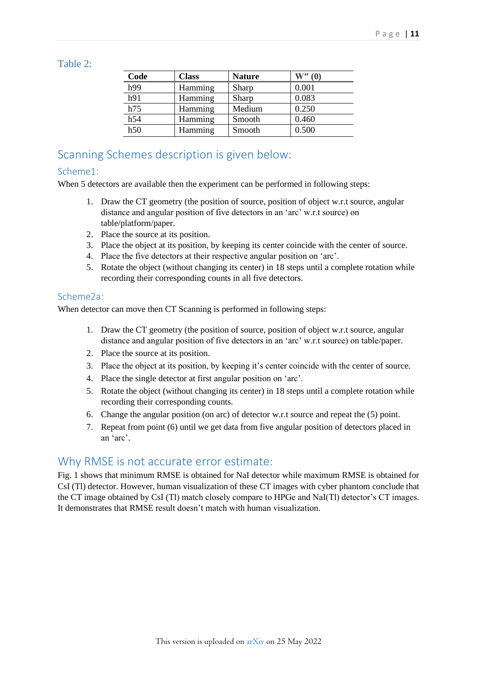### <span id="page-10-0"></span>Table 2:

| Code             | <b>Class</b> | <b>Nature</b> | W''(0) |
|------------------|--------------|---------------|--------|
| h99              | Hamming      | Sharp         | 0.001  |
| h91              | Hamming      | Sharp         | 0.083  |
| h75              | Hamming      | Medium        | 0.250  |
| h54              | Hamming      | Smooth        | 0.460  |
| $\overline{h50}$ | Hamming      | Smooth        | 0.500  |

# <span id="page-10-1"></span>Scanning Schemes description is given below:

## Scheme1:

When 5 detectors are available then the experiment can be performed in following steps:

- 1. Draw the CT geometry (the position of source, position of object w.r.t source, angular distance and angular position of five detectors in an 'arc' w.r.t source) on table/platform/paper.
- 2. Place the source at its position.
- 3. Place the object at its position, by keeping its center coincide with the center of source.
- 4. Place the five detectors at their respective angular position on 'arc'.
- 5. Rotate the object (without changing its center) in 18 steps until a complete rotation while recording their corresponding counts in all five detectors.

#### Scheme2a:

When detector can move then CT Scanning is performed in following steps:

- 1. Draw the CT geometry (the position of source, position of object w.r.t source, angular distance and angular position of five detectors in an 'arc' w.r.t source) on table/paper.
- 2. Place the source at its position.
- 3. Place the object at its position, by keeping it's center coincide with the center of source.
- 4. Place the single detector at first angular position on 'arc'.
- 5. Rotate the object (without changing its center) in 18 steps until a complete rotation while recording their corresponding counts.
- 6. Change the angular position (on arc) of detector w.r.t source and repeat the (5) point.
- 7. Repeat from point (6) until we get data from five angular position of detectors placed in an 'arc'.

## Why RMSE is not accurate error estimate:

Fig. 1 shows that minimum RMSE is obtained for NaI detector while maximum RMSE is obtained for CsI (Tl) detector. However, human visualization of these CT images with cyber phantom conclude that the CT image obtained by CsI (Tl) match closely compare to HPGe and NaI(Tl) detector's CT images. It demonstrates that RMSE result doesn't match with human visualization.